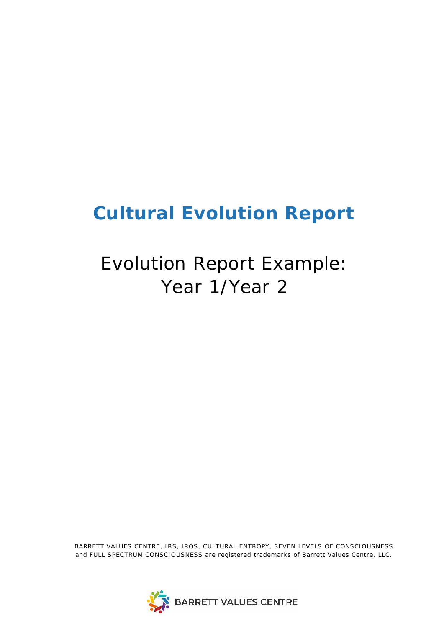# **Cultural Evolution Report**

# Evolution Report Example: Year 1/Year 2

*BARRETT VALUES CENTRE, IRS, IROS, CULTURAL ENTROPY, SEVEN LEVELS OF CONSCIOUSNESS and FULL SPECTRUM CONSCIOUSNESS are registered trademarks of Barrett Values Centre, LLC.*

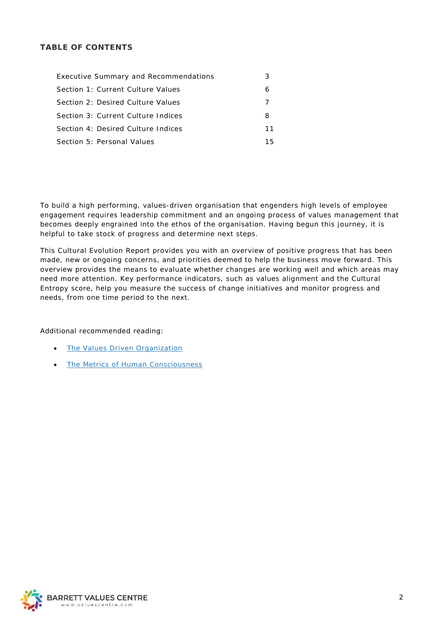# **TABLE OF CONTENTS**

| <b>Executive Summary and Recommendations</b> |    |
|----------------------------------------------|----|
| Section 1: Current Culture Values            | 6  |
| Section 2: Desired Culture Values            |    |
| Section 3: Current Culture Indices           | 8  |
| Section 4: Desired Culture Indices           | 11 |
| Section 5: Personal Values                   | 15 |

To build a high performing, values-driven organisation that engenders high levels of employee engagement requires leadership commitment and an ongoing process of values management that becomes deeply engrained into the ethos of the organisation. Having begun this journey, it is helpful to take stock of progress and determine next steps.

This Cultural Evolution Report provides you with an overview of positive progress that has been made, new or ongoing concerns, and priorities deemed to help the business move forward. This overview provides the means to evaluate whether changes are working well and which areas may need more attention. Key performance indicators, such as values alignment and the Cultural Entropy score, help you measure the success of change initiatives and monitor progress and needs, from one time period to the next.

# Additional recommended reading:

- [The Values Driven Organization](http://www.valuescentre.com/resources/books/values-driven-organization)
- [The Metrics of Human Consciousness](http://www.valuescentre.com/resources/books/metrics-human-consciousness)

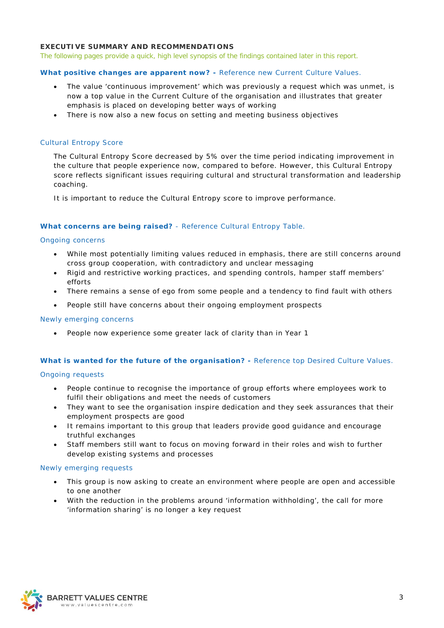# <span id="page-2-0"></span>**EXECUTIVE SUMMARY AND RECOMMENDATIONS**

*The following pages provide a quick, high level synopsis of the findings contained later in this report.*

## **What positive changes are apparent now? -** *Reference new Current Culture Values.*

- The value 'continuous improvement' which was previously a request which was unmet, is now a top value in the Current Culture of the organisation and illustrates that greater emphasis is placed on developing better ways of working
- There is now also a new focus on setting and meeting business objectives

#### *Cultural Entropy Score*

The Cultural Entropy Score decreased by 5% over the time period indicating improvement in the culture that people experience now, compared to before. However, this Cultural Entropy score reflects significant issues requiring cultural and structural transformation and leadership coaching.

It is important to reduce the Cultural Entropy score to improve performance.

## **What concerns are being raised?** - *Reference Cultural Entropy Table.*

#### *Ongoing concerns*

- While most potentially limiting values reduced in emphasis, there are still concerns around cross group cooperation, with contradictory and unclear messaging
- Rigid and restrictive working practices, and spending controls, hamper staff members' efforts
- There remains a sense of ego from some people and a tendency to find fault with others
- People still have concerns about their ongoing employment prospects

#### *Newly emerging concerns*

• People now experience some greater lack of clarity than in Year 1

#### **What is wanted for the future of the organisation? -** *Reference top Desired Culture Values.*

#### *Ongoing requests*

- People continue to recognise the importance of group efforts where employees work to fulfil their obligations and meet the needs of customers
- They want to see the organisation inspire dedication and they seek assurances that their employment prospects are good
- It remains important to this group that leaders provide good guidance and encourage truthful exchanges
- Staff members still want to focus on moving forward in their roles and wish to further develop existing systems and processes

#### *Newly emerging requests*

- This group is now asking to create an environment where people are open and accessible to one another
- With the reduction in the problems around 'information withholding', the call for more 'information sharing' is no longer a key request

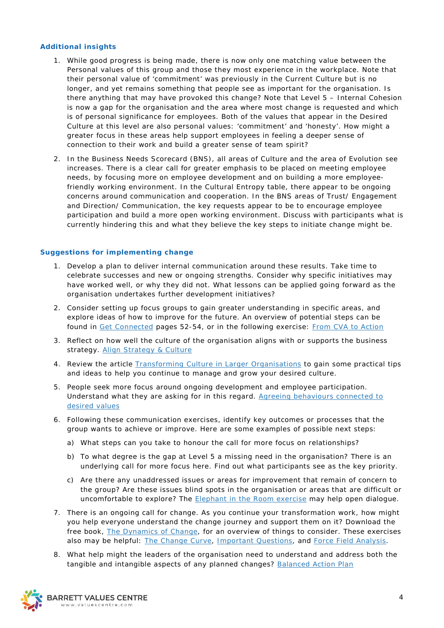## **Additional insights**

- 1. While good progress is being made, there is now only one matching value between the Personal values of this group and those they most experience in the workplace. Note that their personal value of 'commitment' was previously in the Current Culture but is no longer, and yet remains something that people see as important for the organisation. Is there anything that may have provoked this change? Note that Level 5 – Internal Cohesion is now a gap for the organisation and the area where most change is requested and which is of personal significance for employees. Both of the values that appear in the Desired Culture at this level are also personal values: 'commitment' and 'honesty'. How might a greater focus in these areas help support employees in feeling a deeper sense of connection to their work and build a greater sense of team spirit?
- 2. In the Business Needs Scorecard (BNS), all areas of Culture and the area of Evolution see increases. There is a clear call for greater emphasis to be placed on meeting employee needs, by focusing more on employee development and on building a more employeefriendly working environment. In the Cultural Entropy table, there appear to be ongoing concerns around communication and cooperation. In the BNS areas of Trust/ Engagement and Direction/ Communication, the key requests appear to be to encourage employee participation and build a more open working environment. Discuss with participants what is currently hindering this and what they believe the key steps to initiate change might be.

## **Suggestions for implementing change**

- 1. Develop a plan to deliver internal communication around these results. Take time to celebrate successes and new or ongoing strengths. Consider why specific initiatives may have worked well, or why they did not. What lessons can be applied going forward as the organisation undertakes further development initiatives?
- 2. Consider setting up focus groups to gain greater understanding in specific areas, and explore ideas of how to improve for the future. An overview of potential steps can be found in [Get Connected](http://www.valuescentre.com/resources/get-connected/get-connected-book) pages 52-54, or in the following exercise: [From CVA to Action](http://www.valuescentre.com/sites/default/files/uploads/2013-05-07/Get%20Connected%20-FromCVAtoAction.pdf)
- 3. Reflect on how well the culture of the organisation aligns with or supports the business strategy. [Align Strategy & Culture](http://www.valuescentre.com/sites/default/files/uploads/2013-12-31/Get%20Connected-AlignStrategyAndCulture.pdf)
- 4. Review the article [Transforming Culture in Larger Organisations](http://www.valuescentre.com/sites/default/files/uploads/article_transforming_culture_in_larger_organizations.pdf) to gain some practical tips and ideas to help you continue to manage and grow your desired culture.
- 5. People seek more focus around ongoing development and employee participation. Understand what they are asking for in this regard. [Agreeing behaviours connected to](http://www.valuescentre.com/sites/default/files/uploads/2013-05-07/Get%20Connected%20-AI_Appreciative_Inquiry.pdf)  [desired values](http://www.valuescentre.com/sites/default/files/uploads/2013-05-07/Get%20Connected%20-AI_Appreciative_Inquiry.pdf)
- 6. Following these communication exercises, identify key outcomes or processes that the group wants to achieve or improve. Here are some examples of possible next steps:
	- a) What steps can you take to honour the call for more focus on relationships?
	- b) To what degree is the gap at Level 5 a missing need in the organisation? There is an underlying call for more focus here. Find out what participants see as the key priority.
	- c) Are there any unaddressed issues or areas for improvement that remain of concern to the group? Are these issues blind spots in the organisation or areas that are difficult or uncomfortable to explore? The [Elephant in the Room exercise](https://valuescentre.com/sites/default/files/uploads/2013-05-07/Get%20Connected%20-TheElephantInTheRoom.pdf) may help open dialogue.
- 7. There is an ongoing call for change. As you continue your transformation work, how might you help everyone understand the change journey and support them on it? Download the free book, [The Dynamics of Change,](http://www.valuescentre.com/resources/books/dynamics-change) for an overview of things to consider. These exercises also may be helpful: [The Change Curve,](http://www.valuescentre.com/sites/default/files/uploads/dc_exercise_2_the_change_curve.pdf) [Important Questions,](http://www.valuescentre.com/sites/default/files/uploads/2013-05-07/Get%20Connected%20-ImportantQuestions.pdf) and [Force Field Analysis.](http://www.valuescentre.com/sites/default/files/uploads/dc_exercise_5_force_field_analysis.pdf)
- 8. What help might the leaders of the organisation need to understand and address both the tangible and intangible aspects of any planned changes? [Balanced Action Plan](http://www.valuescentre.com/sites/default/files/uploads/dc_exercise_7_balance_action_plan.pdf)

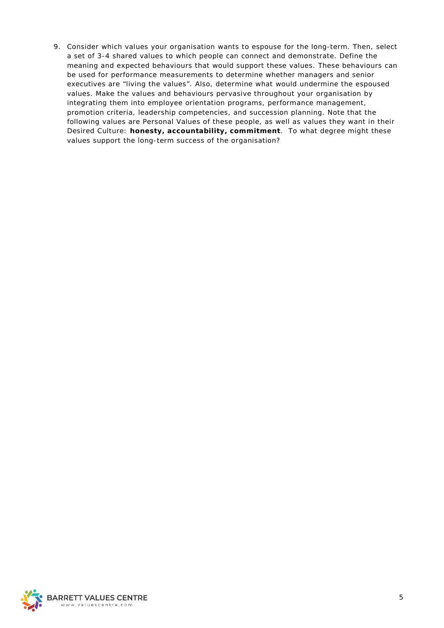9. Consider which values your organisation wants to espouse for the long-term. Then, select a set of 3-4 shared values to which people can connect and demonstrate. Define the meaning and expected behaviours that would support these values. These behaviours can be used for performance measurements to determine whether managers and senior executives are "living the values". Also, determine what would undermine the espoused values. Make the values and behaviours pervasive throughout your organisation by integrating them into employee orientation programs, performance management, promotion criteria, leadership competencies, and succession planning. Note that the following values are Personal Values of these people, as well as values they want in their Desired Culture: **honesty, accountability, commitment**. To what degree might these values support the long-term success of the organisation?

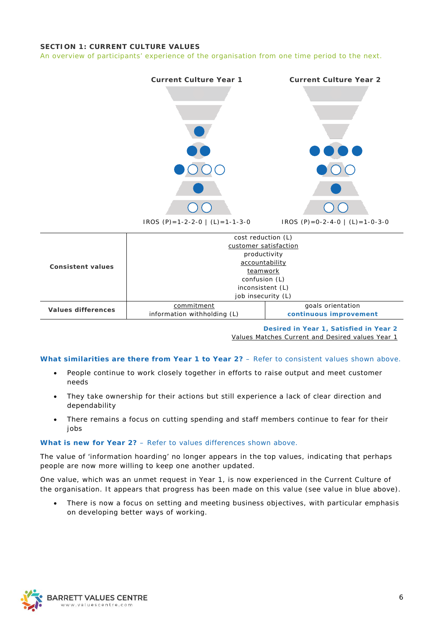# <span id="page-5-0"></span>**SECTION 1: CURRENT CULTURE VALUES**

*An overview of participants' experience of the organisation from one time period to the next.*



|                          | cost reduction (L)          |                        |  |  |  |
|--------------------------|-----------------------------|------------------------|--|--|--|
|                          | customer satisfaction       |                        |  |  |  |
|                          | productivity                |                        |  |  |  |
| <b>Consistent values</b> | accountability              |                        |  |  |  |
|                          | teamwork                    |                        |  |  |  |
|                          | confusion (L)               |                        |  |  |  |
|                          | inconsistent (L)            |                        |  |  |  |
|                          | job insecurity (L)          |                        |  |  |  |
| Values differences       | commitment                  | goals orientation      |  |  |  |
|                          | information withholding (L) | continuous improvement |  |  |  |

**Desired in Year 1, Satisfied in Year 2**

Values Matches Current and Desired values Year 1

## **What similarities are there from Year 1 to Year 2?** – *Refer to consistent values shown above.*

- People continue to work closely together in efforts to raise output and meet customer needs
- They take ownership for their actions but still experience a lack of clear direction and dependability
- There remains a focus on cutting spending and staff members continue to fear for their jobs

#### **What is new for Year 2?** – *Refer to values differences shown above.*

The value of 'information hoarding' no longer appears in the top values, indicating that perhaps people are now more willing to keep one another updated.

One value, which was an unmet request in Year 1, is now experienced in the Current Culture of the organisation. It appears that progress has been made on this value (see value in blue above).

There is now a focus on setting and meeting business objectives, with particular emphasis on developing better ways of working.

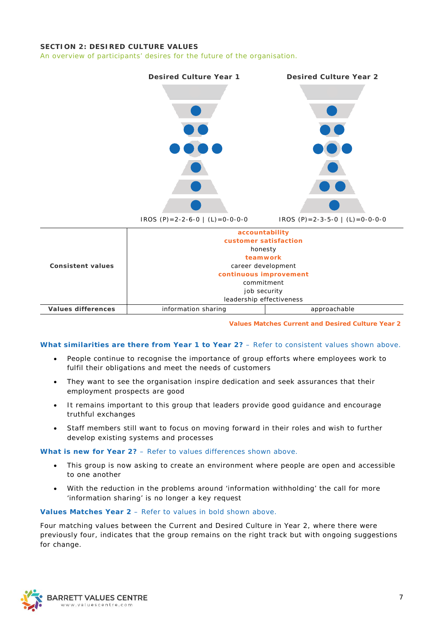# <span id="page-6-0"></span>**SECTION 2: DESIRED CULTURE VALUES**

*An overview of participants' desires for the future of the organisation.* 



**Values Matches Current and Desired Culture Year 2**

## **What similarities are there from Year 1 to Year 2?** – *Refer to consistent values shown above.*

- People continue to recognise the importance of group efforts where employees work to fulfil their obligations and meet the needs of customers
- They want to see the organisation inspire dedication and seek assurances that their employment prospects are good
- It remains important to this group that leaders provide good guidance and encourage truthful exchanges
- Staff members still want to focus on moving forward in their roles and wish to further develop existing systems and processes

**What is new for Year 2?** – *Refer to values differences shown above.*

- This group is now asking to create an environment where people are open and accessible to one another
- With the reduction in the problems around 'information withholding' the call for more 'information sharing' is no longer a key request

#### **Values Matches Year 2** – *Refer to values in bold shown above.*

Four matching values between the Current and Desired Culture in Year 2, where there were previously four, indicates that the group remains on the right track but with ongoing suggestions for change.

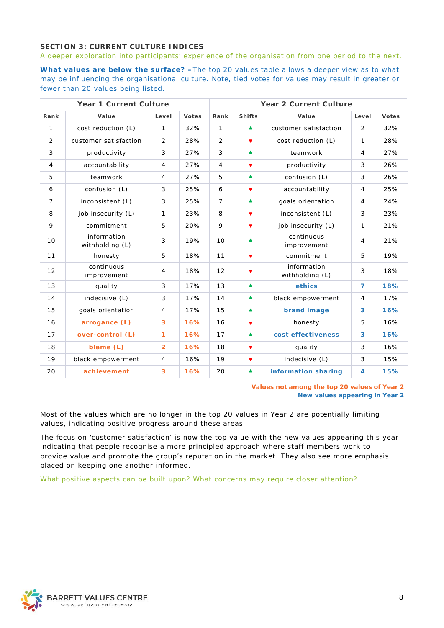# <span id="page-7-0"></span>**SECTION 3: CURRENT CULTURE INDICES**

*A deeper exploration into participants' experience of the organisation from one period to the next.*

**What values are below the surface? –***The top 20 values table allows a deeper view as to what may be influencing the organisational culture. Note, tied votes for values may result in greater or fewer than 20 values being listed.*

|                | <b>Year 1 Current Culture</b>  |                |              | <b>Year 2 Current Culture</b> |                      |                                |                |              |
|----------------|--------------------------------|----------------|--------------|-------------------------------|----------------------|--------------------------------|----------------|--------------|
| Rank           | Value                          | Level          | <b>Votes</b> | Rank                          | <b>Shifts</b>        | Value                          | Level          | <b>Votes</b> |
| 1              | cost reduction (L)             | $\mathbf{1}$   | 32%          | $\mathbf{1}$                  | $\blacktriangle$     | customer satisfaction          | 2              | 32%          |
| $\overline{2}$ | customer satisfaction          | 2              | 28%          | $\overline{2}$                | ▼                    | cost reduction (L)             | $\mathbf{1}$   | 28%          |
| 3              | productivity                   | 3              | 27%          | 3                             | $\blacktriangle$     | teamwork                       | $\overline{4}$ | 27%          |
| 4              | accountability                 | $\overline{4}$ | 27%          | $\overline{4}$                | ▼                    | productivity                   | 3              | 26%          |
| 5              | teamwork                       | $\overline{4}$ | 27%          | 5                             | $\blacktriangle$     | confusion (L)                  | 3              | 26%          |
| 6              | confusion (L)                  | 3              | 25%          | 6                             | ▼                    | accountability                 | $\overline{4}$ | 25%          |
| $\overline{7}$ | inconsistent (L)               | 3              | 25%          | $\overline{7}$                | $\blacktriangle$     | goals orientation              | $\overline{4}$ | 24%          |
| 8              | job insecurity (L)             | $\mathbf{1}$   | 23%          | 8                             | ▼                    | inconsistent (L)               | 3              | 23%          |
| 9              | commitment                     | 5              | 20%          | 9                             | ▼                    | job insecurity (L)             | 1              | 21%          |
| 10             | information<br>withholding (L) | $\mathfrak{Z}$ | 19%          | 10                            | ▲                    | continuous<br>improvement      | 4              | 21%          |
| 11             | honesty                        | 5              | 18%          | 11                            | ▼                    | commitment                     | 5              | 19%          |
| 12             | continuous<br>improvement      | $\overline{4}$ | 18%          | 12                            | ▼                    | information<br>withholding (L) | 3              | 18%          |
| 13             | quality                        | 3              | 17%          | 13                            | $\blacktriangle$     | ethics                         | $\overline{7}$ | 18%          |
| 14             | indecisive (L)                 | $\mathbf{3}$   | 17%          | 14                            | $\blacktriangle$     | black empowerment              | $\overline{4}$ | 17%          |
| 15             | goals orientation              | $\overline{4}$ | 17%          | 15                            | $\blacktriangle$     | brand image                    | 3              | 16%          |
| 16             | arrogance (L)                  | 3              | 16%          | 16                            | $\blacktriangledown$ | honesty                        | 5              | 16%          |
| 17             | over-control (L)               | $\mathbf{1}$   | 16%          | 17                            | $\blacktriangle$     | cost effectiveness             | 3              | 16%          |
| 18             | blame (L)                      | $\overline{2}$ | 16%          | 18                            | $\blacktriangledown$ | quality                        | 3              | 16%          |
| 19             | black empowerment              | $\overline{4}$ | 16%          | 19                            | $\blacktriangledown$ | indecisive (L)                 | 3              | 15%          |
| 20             | achievement                    | 3              | 16%          | 20                            | $\blacktriangle$     | information sharing            | 4              | 15%          |

*Values not among the top 20 values of Year 2 New values appearing in Year 2*

Most of the values which are no longer in the top 20 values in Year 2 are potentially limiting values, indicating positive progress around these areas.

The focus on 'customer satisfaction' is now the top value with the new values appearing this year indicating that people recognise a more principled approach where staff members work to provide value and promote the group's reputation in the market. They also see more emphasis placed on keeping one another informed.

*What positive aspects can be built upon? What concerns may require closer attention?*

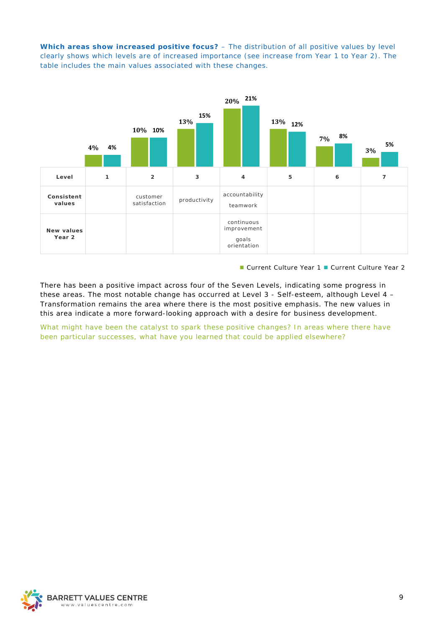**Which areas show increased positive focus?** – *The distribution of all positive values by level clearly shows which levels are of increased importance (see increase from Year 1 to Year 2). The table includes the main values associated with these changes.*



■ Current Culture Year 1 ■ Current Culture Year 2

There has been a positive impact across four of the Seven Levels, indicating some progress in these areas. The most notable change has occurred at Level 3 - Self-esteem, although Level 4 – Transformation remains the area where there is the most positive emphasis. The new values in this area indicate a more forward-looking approach with a desire for business development.

*What might have been the catalyst to spark these positive changes? In areas where there have been particular successes, what have you learned that could be applied elsewhere?*

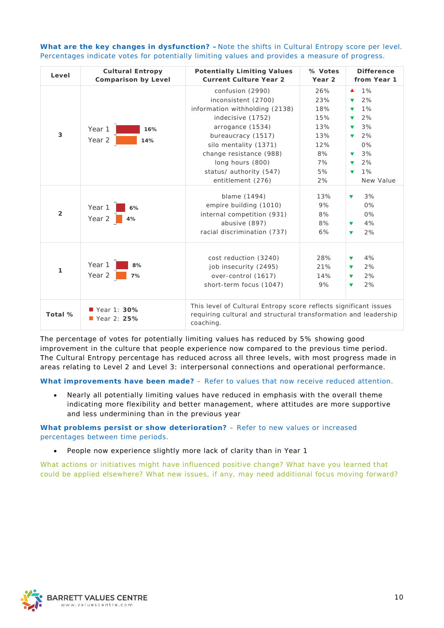| Level          | <b>Cultural Entropy</b><br><b>Comparison by Level</b> | <b>Potentially Limiting Values</b><br><b>Current Culture Year 2</b>                                                                                                                                                                                              | % Votes<br>Year <sub>2</sub>                                          | <b>Difference</b><br>from Year 1                                                                                                                                          |
|----------------|-------------------------------------------------------|------------------------------------------------------------------------------------------------------------------------------------------------------------------------------------------------------------------------------------------------------------------|-----------------------------------------------------------------------|---------------------------------------------------------------------------------------------------------------------------------------------------------------------------|
| 3              | Year 1<br>16%<br>Year 2<br>14%                        | confusion (2990)<br>inconsistent (2700)<br>information withholding (2138)<br>indecisive (1752)<br>arrogance (1534)<br>bureaucracy (1517)<br>silo mentality (1371)<br>change resistance (988)<br>long hours (800)<br>status/ authority (547)<br>entitlement (276) | 26%<br>23%<br>18%<br>15%<br>13%<br>13%<br>12%<br>8%<br>7%<br>5%<br>2% | 1%<br>▲<br>2%<br>▼<br>1%<br>▼<br>2%<br>3%<br>▼<br>2%<br>$\blacktriangledown$<br>$0\%$<br>3%<br>v<br>2%<br>$\blacktriangledown$<br>1%<br>$\blacktriangledown$<br>New Value |
| $\overline{2}$ | Year 1<br>6%<br>Year 2<br>4%                          | blame (1494)<br>empire building (1010)<br>internal competition (931)<br>abusive (897)<br>racial discrimination (737)                                                                                                                                             | 13%<br>9%<br>8%<br>8%<br>6%                                           | 3%<br>$\blacktriangledown$<br>$0\%$<br>0%<br>4%<br>$\blacktriangledown$<br>2%<br>$\blacktriangledown$                                                                     |
| 1              | Year 1<br>8%<br>Year 2<br>7%                          | cost reduction (3240)<br>job insecurity (2495)<br>over-control (1617)<br>short-term focus (1047)                                                                                                                                                                 | 28%<br>21%<br>14%<br>9%                                               | 4%<br>v<br>2%<br>v<br>2%<br>$\blacktriangledown$<br>2%<br>$\blacktriangledown$                                                                                            |
| Total %        | Year 1: 30%<br>Year 2: $25%$                          | This level of Cultural Entropy score reflects significant issues<br>requiring cultural and structural transformation and leadership<br>coaching.                                                                                                                 |                                                                       |                                                                                                                                                                           |

**What are the key changes in dysfunction? –***Note the shifts in Cultural Entropy score per level. Percentages indicate votes for potentially limiting values and provides a measure of progress.*

The percentage of votes for potentially limiting values has reduced by 5% showing good improvement in the culture that people experience now compared to the previous time period. The Cultural Entropy percentage has reduced across all three levels, with most progress made in areas relating to Level 2 and Level 3: interpersonal connections and operational performance.

**What improvements have been made?** – *Refer to values that now receive reduced attention.* 

• Nearly all potentially limiting values have reduced in emphasis with the overall theme indicating more flexibility and better management, where attitudes are more supportive and less undermining than in the previous year

**What problems persist or show deterioration?** – *Refer to new values or increased percentages between time periods.*

• People now experience slightly more lack of clarity than in Year 1

*What actions or initiatives might have influenced positive change? What have you learned that could be applied elsewhere? What new issues, if any, may need additional focus moving forward?*

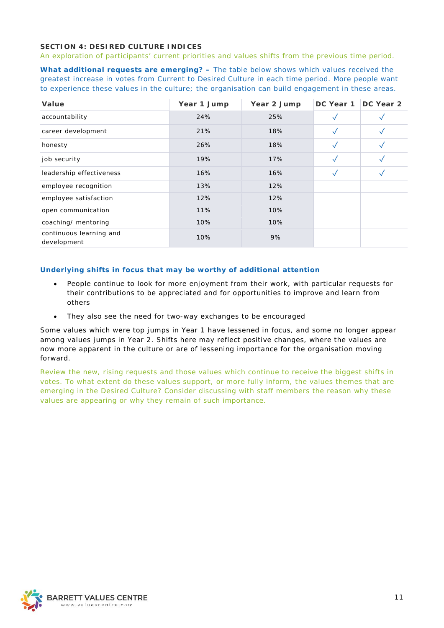# <span id="page-10-0"></span>**SECTION 4: DESIRED CULTURE INDICES**

*An exploration of participants' current priorities and values shifts from the previous time period.* 

**What additional requests are emerging? –** *The table below shows which values received the greatest increase in votes from Current to Desired Culture in each time period. More people want to experience these values in the culture; the organisation can build engagement in these areas.*

| Value                                  | Year 1 Jump | Year 2 Jump | DC Year 1    | DC Year 2 |
|----------------------------------------|-------------|-------------|--------------|-----------|
| accountability                         | 24%         | 25%         | $\checkmark$ |           |
| career development                     | 21%         | 18%         |              |           |
| honesty                                | 26%         | 18%         | $\checkmark$ |           |
| job security                           | 19%         | 17%         |              |           |
| leadership effectiveness               | 16%         | 16%         | $\checkmark$ |           |
| employee recognition                   | 13%         | 12%         |              |           |
| employee satisfaction                  | 12%         | 12%         |              |           |
| open communication                     | 11%         | 10%         |              |           |
| coaching/ mentoring                    | 10%         | 10%         |              |           |
| continuous learning and<br>development | 10%         | 9%          |              |           |

# **Underlying shifts in focus that may be worthy of additional attention**

- People continue to look for more enjoyment from their work, with particular requests for their contributions to be appreciated and for opportunities to improve and learn from others
- They also see the need for two-way exchanges to be encouraged

Some values which were top jumps in Year 1 have lessened in focus, and some no longer appear among values jumps in Year 2. Shifts here may reflect positive changes, where the values are now more apparent in the culture or are of lessening importance for the organisation moving forward.

*Review the new, rising requests and those values which continue to receive the biggest shifts in votes. To what extent do these values support, or more fully inform, the values themes that are emerging in the Desired Culture? Consider discussing with staff members the reason why these values are appearing or why they remain of such importance.*

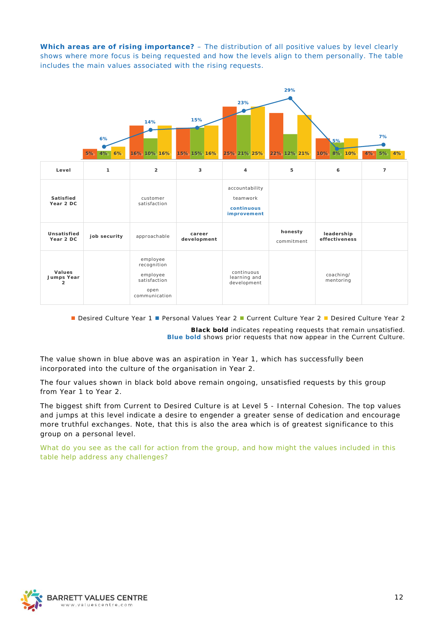**Which areas are of rising importance?** – *The distribution of all positive values by level clearly shows where more focus is being requested and how the levels align to them personally. The table includes the main values associated with the rising requests.*



■ Desired Culture Year 1 ■ Personal Values Year 2 ■ Current Culture Year 2 ■ Desired Culture Year 2

**Black bold** *indicates repeating requests that remain unsatisfied.* **Blue bold** *shows prior requests that now appear in the Current Culture.*

The value shown in blue above was an aspiration in Year 1, which has successfully been incorporated into the culture of the organisation in Year 2.

The four values shown in black bold above remain ongoing, unsatisfied requests by this group from Year 1 to Year 2.

The biggest shift from Current to Desired Culture is at Level 5 - Internal Cohesion. The top values and jumps at this level indicate a desire to engender a greater sense of dedication and encourage more truthful exchanges. Note, that this is also the area which is of greatest significance to this group on a personal level.

*What do you see as the call for action from the group, and how might the values included in this table help address any challenges?*

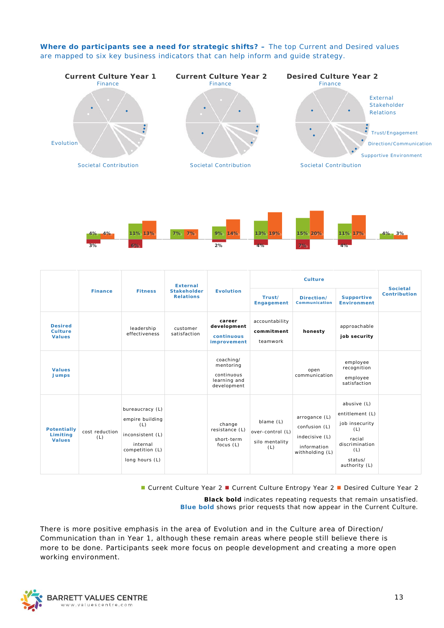**Where do participants see a need for strategic shifts? –** *The top Current and Desired values are mapped to six key business indicators that can help inform and guide strategy.*





|                                                   |                       | <b>External</b>                                                                                                |                                        |                                                                     |                                                        | Culture                                                                            |                                                                                                                        |                                         |                                        |
|---------------------------------------------------|-----------------------|----------------------------------------------------------------------------------------------------------------|----------------------------------------|---------------------------------------------------------------------|--------------------------------------------------------|------------------------------------------------------------------------------------|------------------------------------------------------------------------------------------------------------------------|-----------------------------------------|----------------------------------------|
|                                                   | <b>Finance</b>        | <b>Fitness</b>                                                                                                 | <b>Stakeholder</b><br><b>Relations</b> |                                                                     | <b>Evolution</b>                                       | Trust/<br>Engagement                                                               | Direction/<br><b>Communication</b>                                                                                     | <b>Supportive</b><br><b>Environment</b> | <b>Societal</b><br><b>Contribution</b> |
| <b>Desired</b><br><b>Culture</b><br><b>Values</b> |                       | leadership<br>effectiveness                                                                                    | customer<br>satisfaction               | career<br>development<br>continuous<br>improvement                  | accountability<br>commitment<br>teamwork               | honesty                                                                            | approachable<br>job security                                                                                           |                                         |                                        |
| <b>Values</b><br><b>Jumps</b>                     |                       |                                                                                                                |                                        | coaching/<br>mentoring<br>continuous<br>learning and<br>development |                                                        | open<br>communication                                                              | employee<br>recognition<br>employee<br>satisfaction                                                                    |                                         |                                        |
| <b>Potentially</b><br>Limiting<br><b>Values</b>   | cost reduction<br>(L) | bureaucracy (L)<br>empire building<br>(L)<br>inconsistent (L)<br>internal<br>competition (L)<br>long hours (L) |                                        | change<br>resistance (L)<br>short-term<br>focus $(L)$               | blame (L)<br>over-control (L)<br>silo mentality<br>(L) | arrogance (L)<br>confusion (L)<br>indecisive (L)<br>information<br>withholding (L) | abusive (L)<br>entitlement (L)<br>job insecurity<br>(L)<br>racial<br>discrimination<br>(L)<br>status/<br>authority (L) |                                         |                                        |

■ Current Culture Year 2 ■ Current Culture Entropy Year 2 ■ Desired Culture Year 2

**Black bold** *indicates repeating requests that remain unsatisfied.* **Blue bold** *shows prior requests that now appear in the Current Culture.*

There is more positive emphasis in the area of Evolution and in the Culture area of Direction/ Communication than in Year 1, although these remain areas where people still believe there is more to be done. Participants seek more focus on people development and creating a more open working environment.

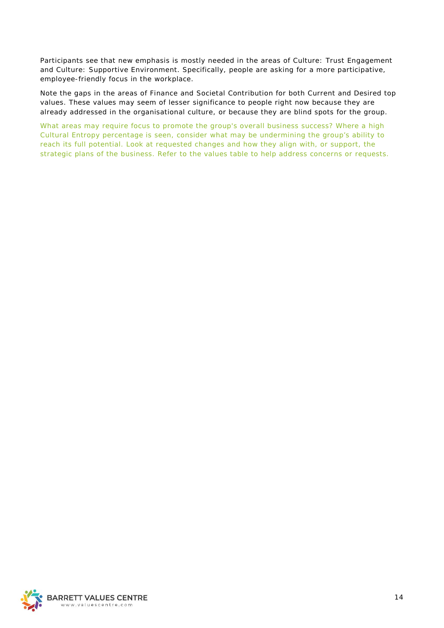Participants see that new emphasis is mostly needed in the areas of Culture: Trust Engagement and Culture: Supportive Environment. Specifically, people are asking for a more participative, employee-friendly focus in the workplace.

Note the gaps in the areas of Finance and Societal Contribution for both Current and Desired top values. These values may seem of lesser significance to people right now because they are already addressed in the organisational culture, or because they are blind spots for the group.

*What areas may require focus to promote the group's overall business success? Where a high Cultural Entropy percentage is seen, consider what may be undermining the group's ability to reach its full potential. Look at requested changes and how they align with, or support, the strategic plans of the business. Refer to the values table to help address concerns or requests.*